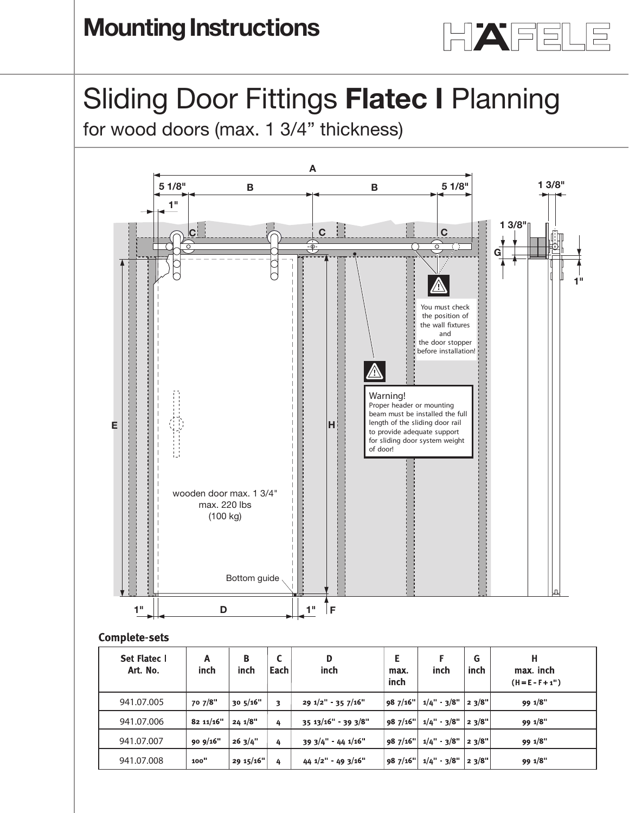

# Sliding Door Fittings **Flatec I** Planning **Planning guide**

Silding Door Fluings **Flatec I** Flaming on the Flater<br>for wood doors (max. 1 3/4" thickness)



## **Complete-sets**

| Set Flatec I<br>Art. No. | Α<br>inch  | B<br>inch | Each | D<br>inch                          | Е<br>max.<br>inch | inch                        | G<br>inch | н<br>max. inch<br>$(H = E - F + 1")$ |
|--------------------------|------------|-----------|------|------------------------------------|-------------------|-----------------------------|-----------|--------------------------------------|
| 941.07.005               | 70 7/8"    | 30.5/16"  | 3    | $291/2"$ 35 7/16"                  | 987/16"           | $1/4$ " - 3/8"   2 3/8"     |           | 99 1/8"                              |
| 941.07.006               | 82 11/16"  | 24.1/8"   | 4    | $35.13/16"$ 39 3/8"                | 987/16"           | $1/4$ " $3/8$ "   2 $3/8$ " |           | 99 1/8"                              |
| 941.07.007               | 90 $9/16"$ | 263/4"    | 4    | $393/4" - 441/16"$                 | 987/16"           | $1/4" - 3/8"$               | 23/8"     | 99 1/8"                              |
| 941.07.008               | 100"       | 29 15/16" | 4    | $44 \frac{1}{2}$ 49 $\frac{3}{16}$ | 987/16"           | $1/4" - 3/8"$               | 23/8"     | 99 1/8"                              |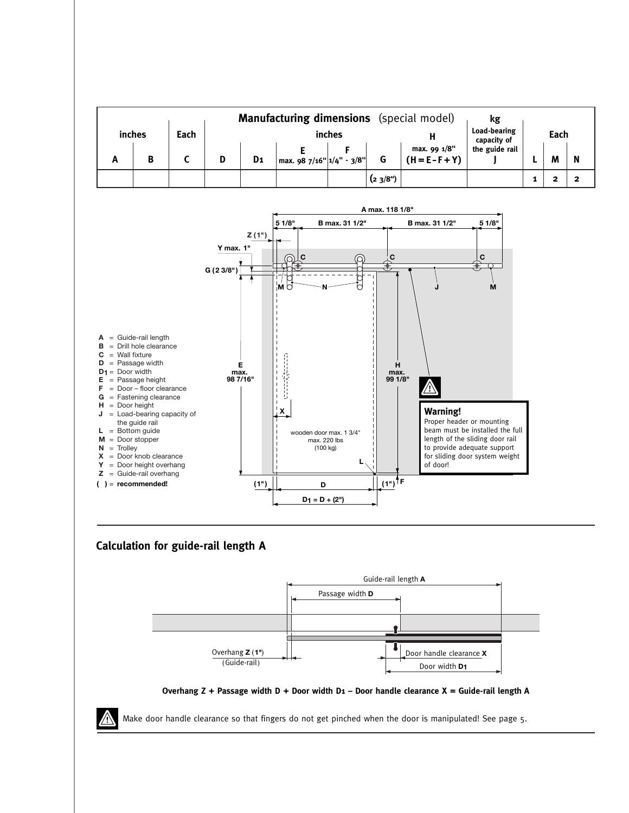|   |        |      |        |                |                            |  |        | <b>Manufacturing dimensions</b> (special model) | kg             |  |   |   |
|---|--------|------|--------|----------------|----------------------------|--|--------|-------------------------------------------------|----------------|--|---|---|
|   | inches | Each | inches |                |                            |  |        | Load-bearing<br>capacity of                     | Each           |  |   |   |
| A | B      |      |        | D <sub>1</sub> | max. $987/16"$ 1/4" - 3/8" |  |        | max. 99 1/8"<br>$(H = E - F + Y)$               | the guide rail |  | M | N |
|   |        |      |        |                |                            |  | (23/8) |                                                 |                |  |   |   |



## **Calculation for guide-rail length A**





Make door handle clearance so that fingers do not get pinched when the door is manipulated! See page 5.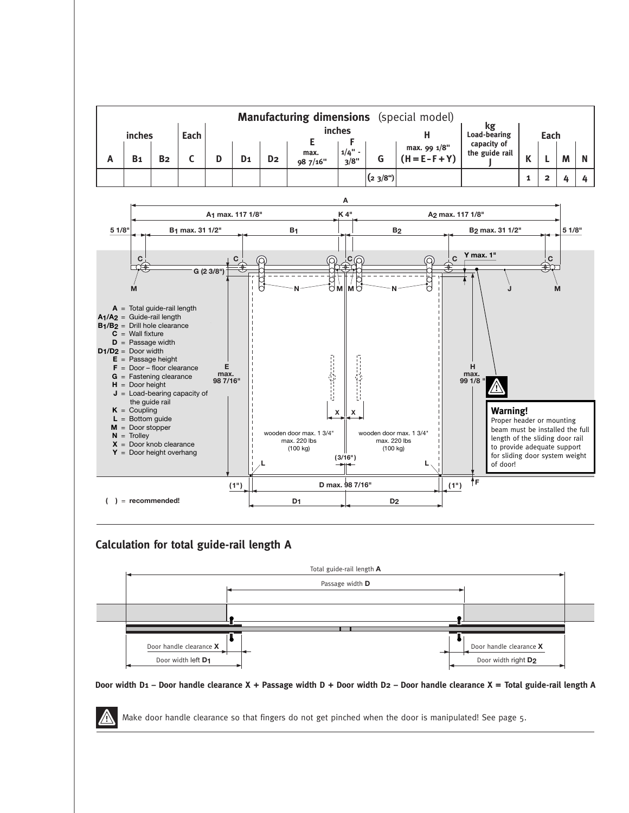



## **Calculation for total guide-rail length A**



#### Door width D1 - Door handle clearance X + Passage width D + Door width D2 - Door handle clearance X = Total guide-rail length A

Make door handle clearance so that fingers do not get pinched when the door is manipulated! See page 5.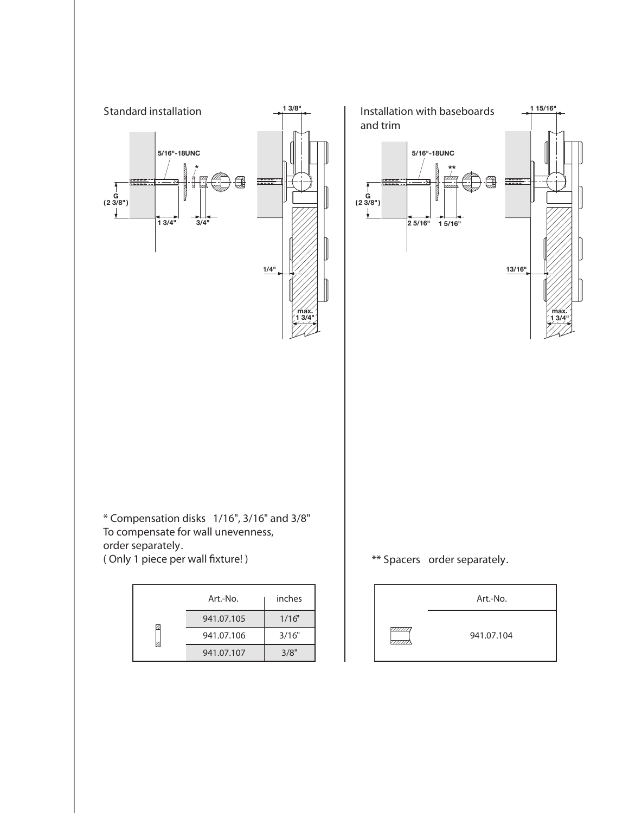

| $Art$ -No. | inches |  |  |  |
|------------|--------|--|--|--|
| 941.07.105 | 1/16"  |  |  |  |
| 941.07.106 | 3/16"  |  |  |  |
| 941.07.107 | 3/8"   |  |  |  |

4

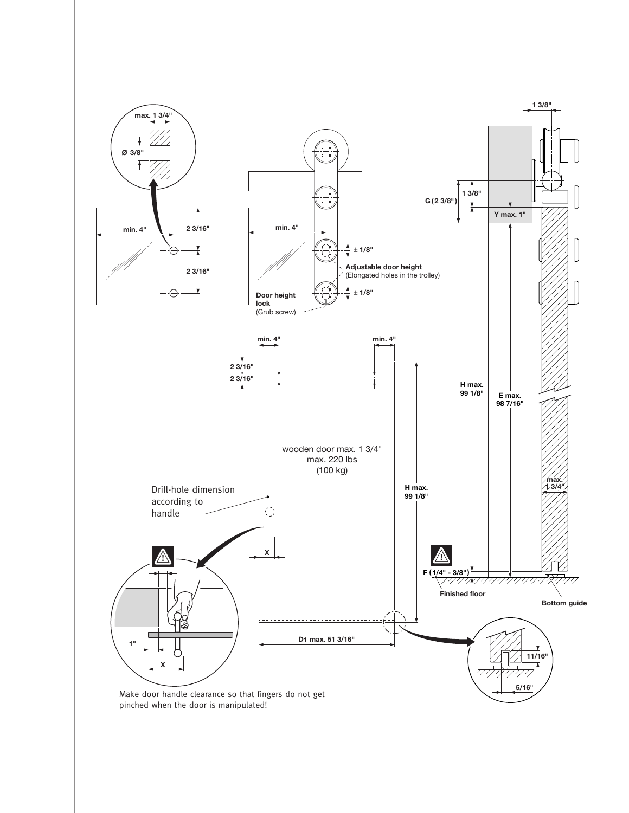

pinched when the door is manipulated!